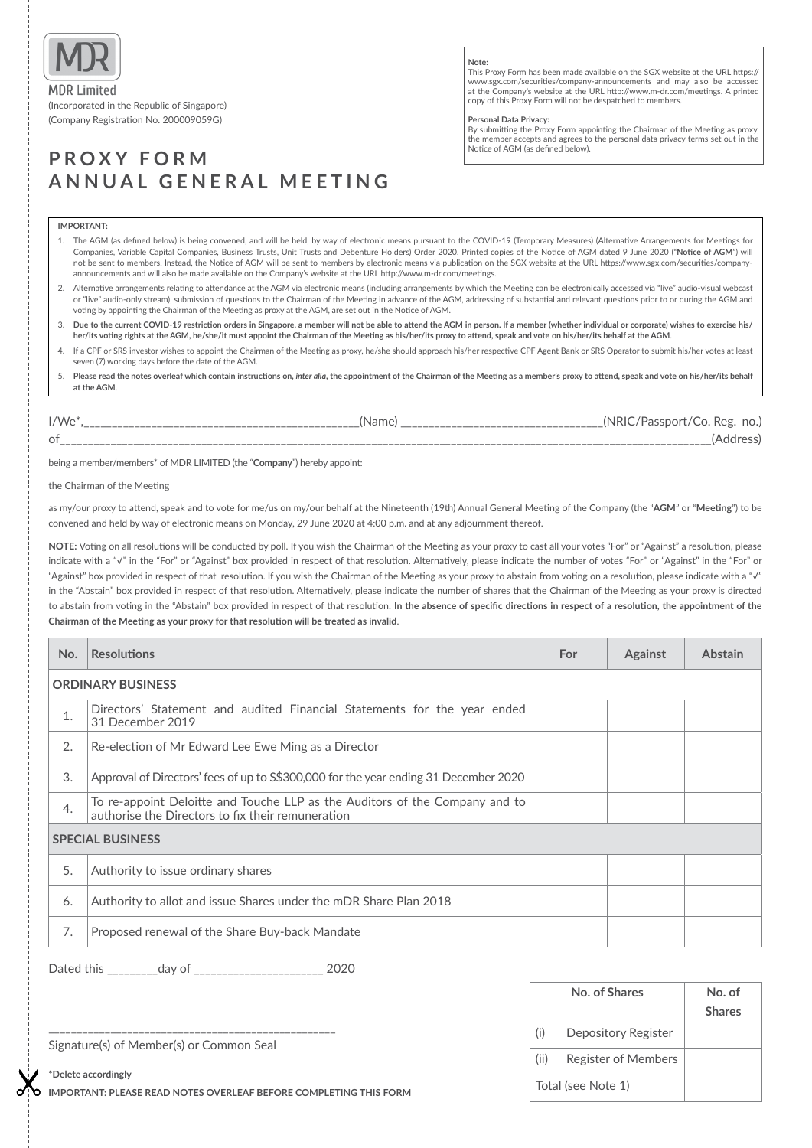

(Incorporated in the Republic of Singapore) (Company Registration No. 200009059G)

# **PROXY FORM ANNUAL GENERAL MEETING**

### **Note:**

This Proxy Form has been made available on the SGX website at the URL https:// www.sgx.com/securities/company-announcements and may also be accessed at the Company's website at the URL http://www.m-dr.com/meetings. A printed copy of this Proxy Form will not be despatched to members.

### **Personal Data Privacy:**

By submitting the Proxy Form appointing the Chairman of the Meeting as proxy, the member accepts and agrees to the personal data privacy terms set out in the Notice of AGM (as defined below).

## **IMPORTANT:**

- 1. The AGM (as defined below) is being convened, and will be held, by way of electronic means pursuant to the COVID-19 (Temporary Measures) (Alternative Arrangements for Meetings for Companies, Variable Capital Companies, Business Trusts, Unit Trusts and Debenture Holders) Order 2020. Printed copies of the Notice of AGM dated 9 June 2020 ("**Notice of AGM**") will not be sent to members. Instead, the Notice of AGM will be sent to members by electronic means via publication on the SGX website at the URL https://www.sgx.com/securities/companyannouncements and will also be made available on the Company's website at the URL http://www.m-dr.com/meetings.
- 2. Alternative arrangements relating to attendance at the AGM via electronic means (including arrangements by which the Meeting can be electronically accessed via "live" audio-visual webcast or "live" audio-only stream), submission of questions to the Chairman of the Meeting in advance of the AGM, addressing of substantial and relevant questions prior to or during the AGM and voting by appointing the Chairman of the Meeting as proxy at the AGM, are set out in the Notice of AGM.
- 3. **Due to the current COVID-19 restriction orders in Singapore, a member will not be able to attend the AGM in person. If a member (whether individual or corporate) wishes to exercise his/ her/its voting rights at the AGM, he/she/it must appoint the Chairman of the Meeting as his/her/its proxy to attend, speak and vote on his/her/its behalf at the AGM**.
- 4. If a CPF or SRS investor wishes to appoint the Chairman of the Meeting as proxy, he/she should approach his/her respective CPF Agent Bank or SRS Operator to submit his/her votes at least seven (7) working days before the date of the AGM.
- 5. **Please read the notes overleaf which contain instructions on,** *inter alia***, the appointment of the Chairman of the Meeting as a member's proxy to attend, speak and vote on his/her/its behalf at the AGM**.

| $I/We^*$ | 'Name | <b>INRIC</b><br>ن Co. Reg<br>'Passport/<br>no.,<br>---- |
|----------|-------|---------------------------------------------------------|
| 0t       |       | AC                                                      |

being a member/members\* of MDR LIMITED (the "**Company**") hereby appoint:

the Chairman of the Meeting

as my/our proxy to attend, speak and to vote for me/us on my/our behalf at the Nineteenth (19th) Annual General Meeting of the Company (the "**AGM**" or "**Meeting**") to be convened and held by way of electronic means on Monday, 29 June 2020 at 4:00 p.m. and at any adjournment thereof.

**NOTE:** Voting on all resolutions will be conducted by poll. If you wish the Chairman of the Meeting as your proxy to cast all your votes "For" or "Against" a resolution, please indicate with a "√" in the "For" or "Against" box provided in respect of that resolution. Alternatively, please indicate the number of votes "For" or "Against" in the "For" or "Against" box provided in respect of that resolution. If you wish the Chairman of the Meeting as your proxy to abstain from voting on a resolution, please indicate with a "√" in the "Abstain" box provided in respect of that resolution. Alternatively, please indicate the number of shares that the Chairman of the Meeting as your proxy is directed to abstain from voting in the "Abstain" box provided in respect of that resolution. **In the absence of specific directions in respect of a resolution, the appointment of the Chairman of the Meeting as your proxy for that resolution will be treated as invalid**.

| No.                      | <b>Resolutions</b>                                                                                                               | For | <b>Against</b> | <b>Abstain</b> |  |
|--------------------------|----------------------------------------------------------------------------------------------------------------------------------|-----|----------------|----------------|--|
| <b>ORDINARY BUSINESS</b> |                                                                                                                                  |     |                |                |  |
| 1.                       | Directors' Statement and audited Financial Statements for the year ended<br>31 December 2019                                     |     |                |                |  |
| 2.                       | Re-election of Mr Edward Lee Ewe Ming as a Director                                                                              |     |                |                |  |
| 3.                       | Approval of Directors' fees of up to \$\$300,000 for the year ending 31 December 2020                                            |     |                |                |  |
| 4.                       | To re-appoint Deloitte and Touche LLP as the Auditors of the Company and to<br>authorise the Directors to fix their remuneration |     |                |                |  |
| <b>SPECIAL BUSINESS</b>  |                                                                                                                                  |     |                |                |  |
| 5.                       | Authority to issue ordinary shares                                                                                               |     |                |                |  |
| 6.                       | Authority to allot and issue Shares under the mDR Share Plan 2018                                                                |     |                |                |  |
| 7.                       | Proposed renewal of the Share Buy-back Mandate                                                                                   |     |                |                |  |

Dated this \_\_\_\_\_\_\_\_\_day of \_\_\_\_\_\_\_\_\_\_\_\_\_\_\_\_\_\_\_\_\_\_\_ 2020

\_\_\_\_\_\_\_\_\_\_\_\_\_\_\_\_\_\_\_\_\_\_\_\_\_\_\_\_\_\_\_\_\_\_\_\_\_\_\_\_\_\_\_\_\_\_\_\_\_\_\_

|                    | No. of Shares              | No. of<br><b>Shares</b> |
|--------------------|----------------------------|-------------------------|
| (i)                | Depository Register        |                         |
| (ii)               | <b>Register of Members</b> |                         |
| Total (see Note 1) |                            |                         |

Signature(s) of Member(s) or Common Seal

**\*Delete accordingly**

**IMPORTANT: PLEASE READ NOTES OVERLEAF BEFORE COMPLETING THIS FORM**